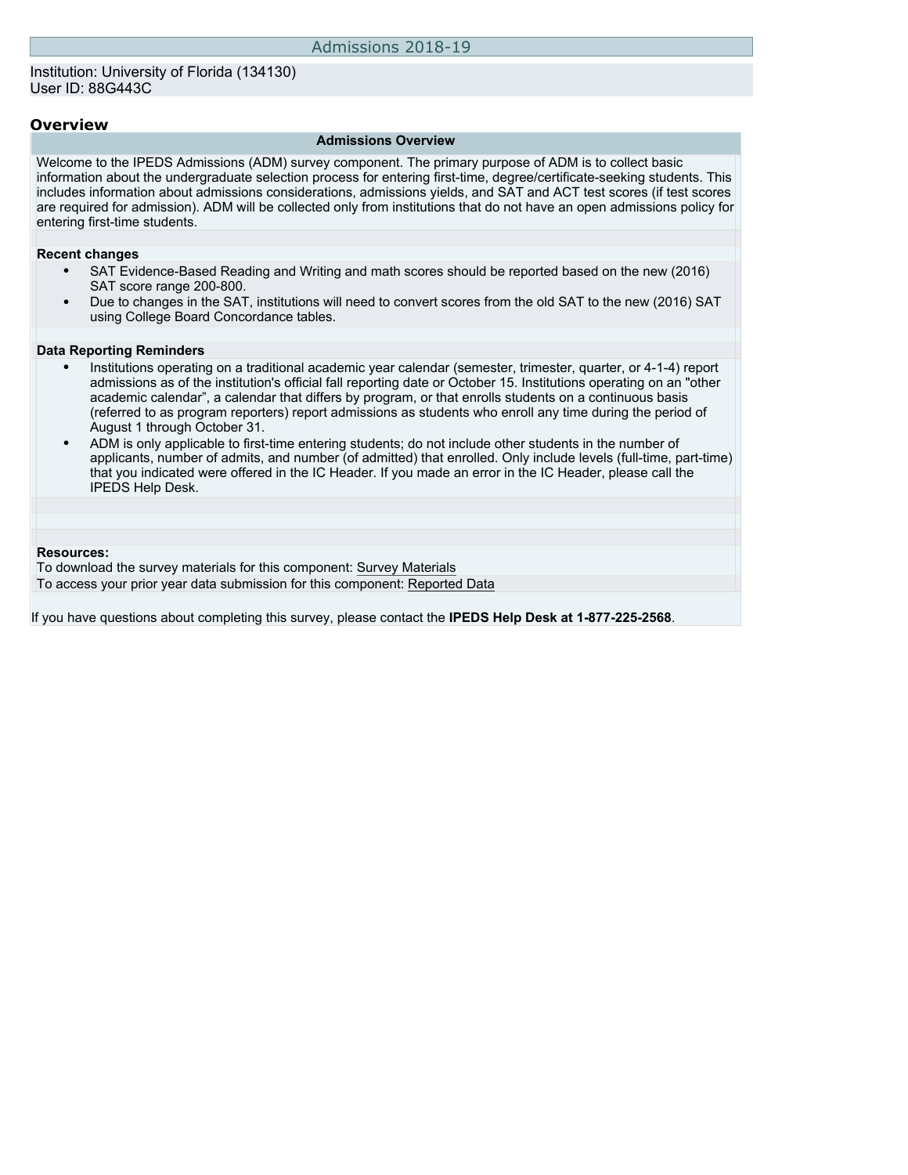### **Overview**

#### **Admissions Overview**

Welcome to the IPEDS Admissions (ADM) survey component. The primary purpose of ADM is to collect basic information about the undergraduate selection process for entering first-time, degree/certificate-seeking students. This includes information about admissions considerations, admissions yields, and SAT and ACT test scores (if test scores are required for admission). ADM will be collected only from institutions that do not have an open admissions policy for entering first-time students.

#### **Recent changes**

- SAT Evidence-Based Reading and Writing and math scores should be reported based on the new (2016) SAT score range 200-800.
- Due to changes in the SAT, institutions will need to convert scores from the old SAT to the new (2016) SAT using College Board Concordance tables.

#### **Data Reporting Reminders**

- Institutions operating on a traditional academic year calendar (semester, trimester, quarter, or 4-1-4) report admissions as of the institution's official fall reporting date or October 15. Institutions operating on an "other academic calendar", a calendar that differs by program, or that enrolls students on a continuous basis (referred to as program reporters) report admissions as students who enroll any time during the period of August 1 through October 31.
- ADM is only applicable to first-time entering students; do not include other students in the number of applicants, number of admits, and number (of admitted) that enrolled. Only include levels (full-time, part-time) that you indicated were offered in the IC Header. If you made an error in the IC Header, please call the IPEDS Help Desk.

### **Resources:**

To download the survey materials for this component: [Survey Materials](https://surveys.nces.ed.gov/ipeds/VisIndex.aspx) To access your prior year data submission for this component: [Reported Data](http://192.168.102.153/ipeds/PriorYearDataRedirect.aspx?survey_id=14)

If you have questions about completing this survey, please contact the **IPEDS Help Desk at 1-877-225-2568**.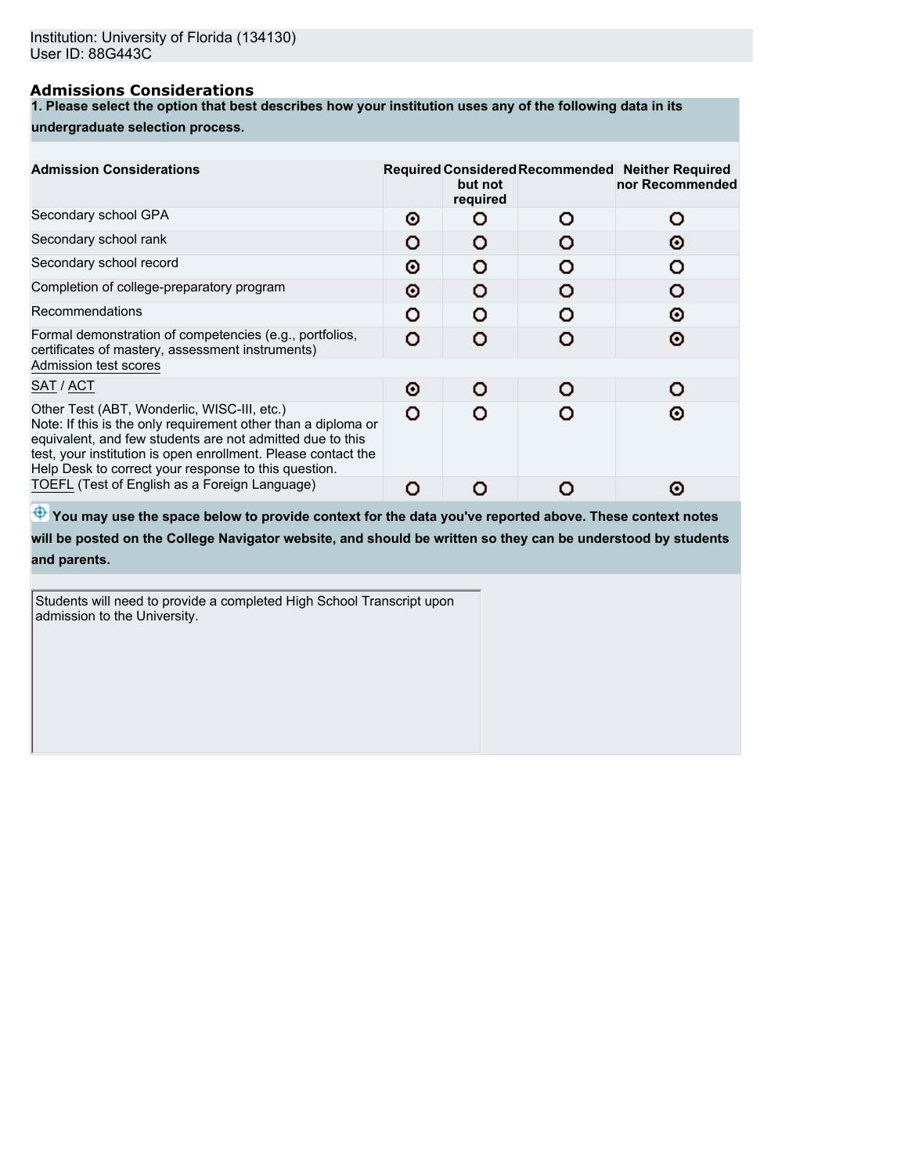# **Admissions Considerations**

**1. Please select the option that best describes how your institution uses any of the following data in its**

### **undergraduate selection process.**

| <b>Admission Considerations</b>                                                                                                                                                                                                                                                                    |   | but not<br>required | Required Considered Recommended Neither Required<br>nor Recommended |
|----------------------------------------------------------------------------------------------------------------------------------------------------------------------------------------------------------------------------------------------------------------------------------------------------|---|---------------------|---------------------------------------------------------------------|
| Secondary school GPA                                                                                                                                                                                                                                                                               | Θ | n                   |                                                                     |
| Secondary school rank                                                                                                                                                                                                                                                                              | O |                     | Θ                                                                   |
| Secondary school record                                                                                                                                                                                                                                                                            | Θ | o                   |                                                                     |
| Completion of college-preparatory program                                                                                                                                                                                                                                                          | o | n                   |                                                                     |
| Recommendations                                                                                                                                                                                                                                                                                    | റ | ⌒                   | റ                                                                   |
| Formal demonstration of competencies (e.g., portfolios,<br>certificates of mastery, assessment instruments)                                                                                                                                                                                        | O |                     | Θ                                                                   |
| Admission test scores                                                                                                                                                                                                                                                                              |   |                     |                                                                     |
| SAT / ACT                                                                                                                                                                                                                                                                                          | Θ | o                   |                                                                     |
| Other Test (ABT, Wonderlic, WISC-III, etc.)<br>Note: If this is the only requirement other than a diploma or<br>equivalent, and few students are not admitted due to this<br>test, your institution is open enrollment. Please contact the<br>Help Desk to correct your response to this question. | O |                     | ര                                                                   |
| TOEFL (Test of English as a Foreign Language)                                                                                                                                                                                                                                                      | O |                     | О                                                                   |

 $\bigoplus$  **You may use the space below to provide context for the data you've reported above. These context notes** 

**will be posted on the College Navigator website, and should be written so they can be understood by students and parents.**

Students will need to provide a completed High School Transcript upon admission to the University.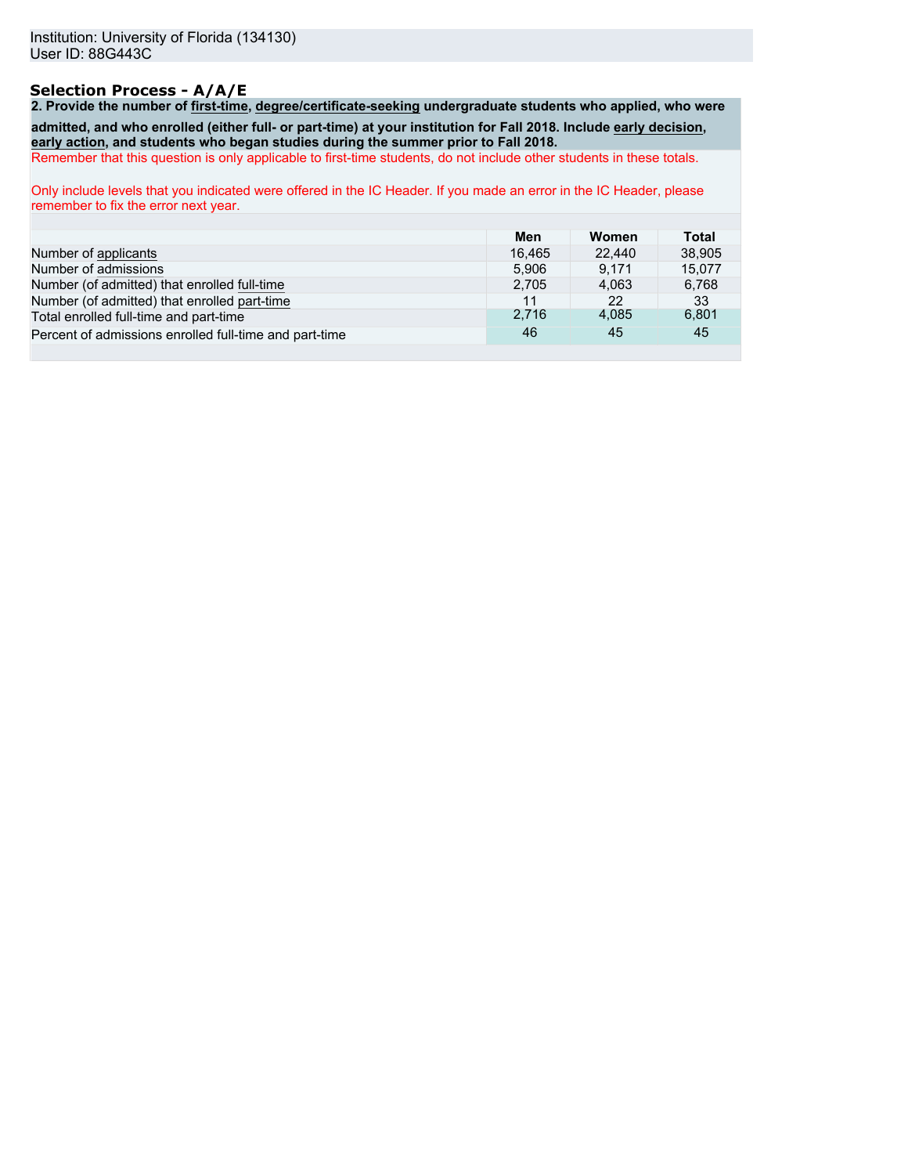# **Selection Process - A/A/E**

**2. Provide the number of first-time, degree/certificate-seeking undergraduate students who applied, who were admitted, and who enrolled (either full- or part-time) at your institution for Fall 2018. Include early decision, early action, and students who began studies during the summer prior to Fall 2018.**

Remember that this question is only applicable to first-time students, do not include other students in these totals.

Only include levels that you indicated were offered in the IC Header. If you made an error in the IC Header, please remember to fix the error next year.

|                                                        | Men    | Women  | Total  |
|--------------------------------------------------------|--------|--------|--------|
| Number of applicants                                   | 16.465 | 22.440 | 38,905 |
| Number of admissions                                   | 5.906  | 9.171  | 15.077 |
| Number (of admitted) that enrolled full-time           | 2.705  | 4.063  | 6,768  |
| Number (of admitted) that enrolled part-time           | 11     | 22     | 33     |
| Total enrolled full-time and part-time                 | 2.716  | 4,085  | 6,801  |
| Percent of admissions enrolled full-time and part-time | 46     | 45     | 45     |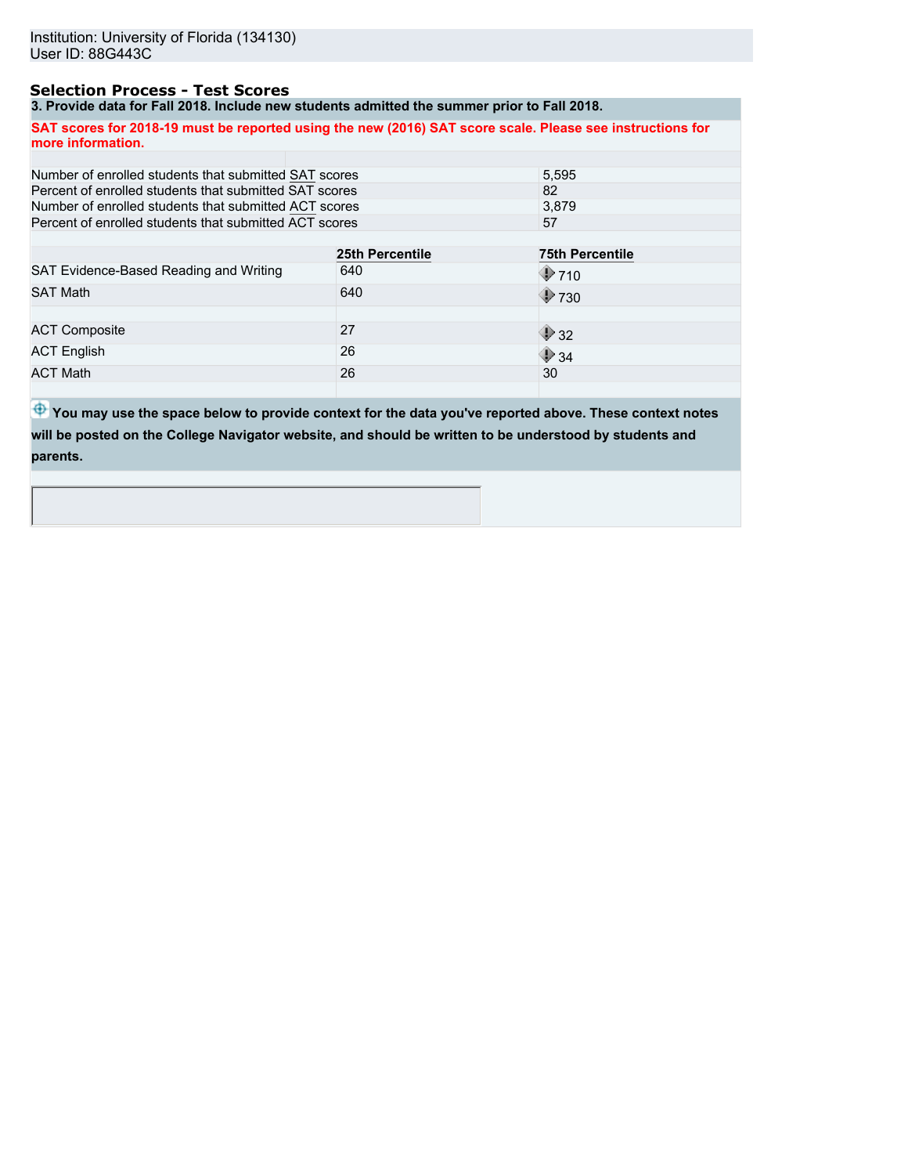# **Selection Process - Test Scores**

**3. Provide data for Fall 2018. Include new students admitted the summer prior to Fall 2018.**

**SAT scores for 2018-19 must be reported using the new (2016) SAT score scale. Please see instructions for more information.**

| Number of enrolled students that submitted SAT scores  | 5.595           |                          |  |
|--------------------------------------------------------|-----------------|--------------------------|--|
| Percent of enrolled students that submitted SAT scores |                 | 82                       |  |
| Number of enrolled students that submitted ACT scores  |                 | 3.879                    |  |
| Percent of enrolled students that submitted ACT scores |                 | 57                       |  |
|                                                        |                 |                          |  |
|                                                        | 25th Percentile | <b>75th Percentile</b>   |  |
| SAT Evidence-Based Reading and Writing                 | 640             | $\bigcirc$ 710           |  |
| <b>SAT Math</b>                                        | 640             | $\bigcirc$ 730           |  |
|                                                        |                 |                          |  |
| <b>ACT Composite</b>                                   | 27              | $\blacktriangleright$ 32 |  |
| <b>ACT English</b>                                     | 26              | $\bigcirc$ 34            |  |
| <b>ACT Math</b>                                        | 26              | 30                       |  |
|                                                        |                 |                          |  |

**<sup>4</sup>** You may use the space below to provide context for the data you've reported above. These context notes **will be posted on the College Navigator website, and should be written to be understood by students and parents.**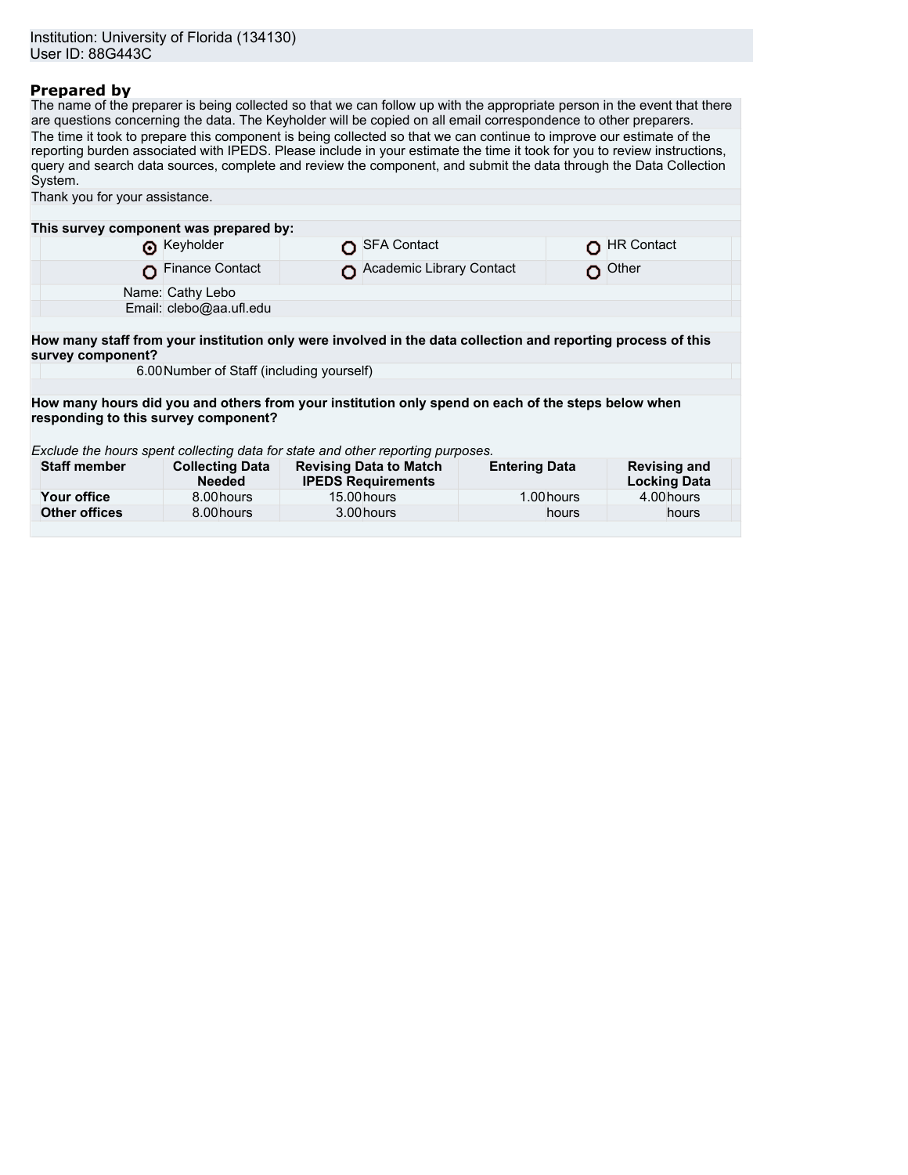# **Prepared by**

The name of the preparer is being collected so that we can follow up with the appropriate person in the event that there are questions concerning the data. The Keyholder will be copied on all email correspondence to other preparers. The time it took to prepare this component is being collected so that we can continue to improve our estimate of the reporting burden associated with IPEDS. Please include in your estimate the time it took for you to review instructions, query and search data sources, complete and review the component, and submit the data through the Data Collection System.

| Thank you for your assistance.                                                                                                    |                                         |  |                                                            |                      |            |                                            |
|-----------------------------------------------------------------------------------------------------------------------------------|-----------------------------------------|--|------------------------------------------------------------|----------------------|------------|--------------------------------------------|
|                                                                                                                                   |                                         |  |                                                            |                      |            |                                            |
| This survey component was prepared by:                                                                                            |                                         |  |                                                            |                      |            |                                            |
|                                                                                                                                   | Reyholder                               |  | <b>SFA Contact</b>                                         |                      |            | <b>HR Contact</b>                          |
|                                                                                                                                   | <b>Finance Contact</b>                  |  | Academic Library Contact                                   |                      |            | Other                                      |
|                                                                                                                                   | Name: Cathy Lebo                        |  |                                                            |                      |            |                                            |
|                                                                                                                                   | Email: clebo@aa.ufl.edu                 |  |                                                            |                      |            |                                            |
|                                                                                                                                   |                                         |  |                                                            |                      |            |                                            |
| How many staff from your institution only were involved in the data collection and reporting process of this<br>survey component? |                                         |  |                                                            |                      |            |                                            |
| 6.00 Number of Staff (including yourself)                                                                                         |                                         |  |                                                            |                      |            |                                            |
|                                                                                                                                   |                                         |  |                                                            |                      |            |                                            |
| How many hours did you and others from your institution only spend on each of the steps below when                                |                                         |  |                                                            |                      |            |                                            |
| responding to this survey component?                                                                                              |                                         |  |                                                            |                      |            |                                            |
|                                                                                                                                   |                                         |  |                                                            |                      |            |                                            |
| Exclude the hours spent collecting data for state and other reporting purposes.                                                   |                                         |  |                                                            |                      |            |                                            |
| <b>Staff member</b>                                                                                                               | <b>Collecting Data</b><br><b>Needed</b> |  | <b>Revising Data to Match</b><br><b>IPEDS Requirements</b> | <b>Entering Data</b> |            | <b>Revising and</b><br><b>Locking Data</b> |
| Your office                                                                                                                       | 8.00 hours                              |  | 15.00 hours                                                |                      | 1.00 hours | 4.00 hours                                 |
| <b>Other offices</b>                                                                                                              | 8.00 hours                              |  | 3.00 hours                                                 |                      | hours      | hours                                      |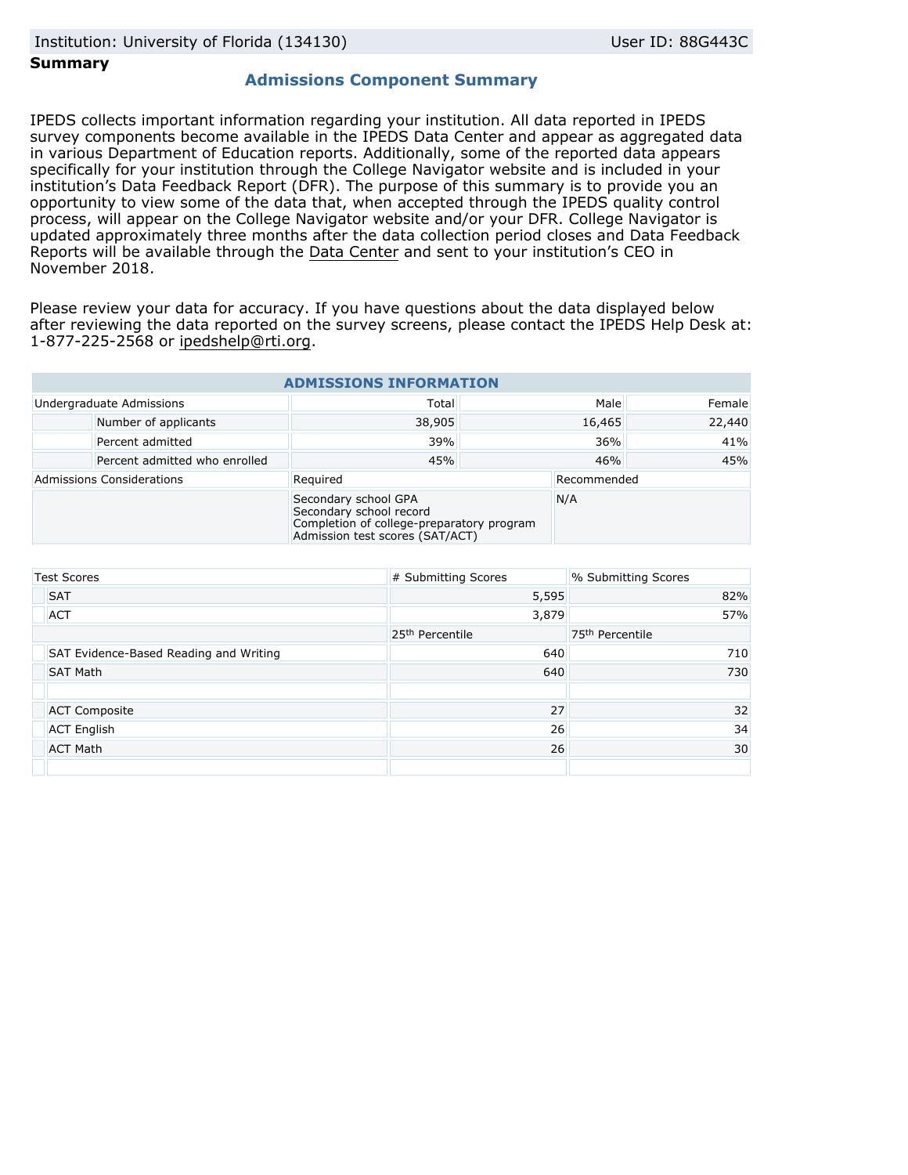### **Summary**

# **Admissions Component Summary**

IPEDS collects important information regarding your institution. All data reported in IPEDS survey components become available in the IPEDS Data Center and appear as aggregated data in various Department of Education reports. Additionally, some of the reported data appears specifically for your institution through the College Navigator website and is included in your institution's Data Feedback Report (DFR). The purpose of this summary is to provide you an opportunity to view some of the data that, when accepted through the IPEDS quality control process, will appear on the College Navigator website and/or your DFR. College Navigator is updated approximately three months after the data collection period closes and Data Feedback Reports will be available through the [Data Center](https://nces.ed.gov/ipeds/use-the-data) and sent to your institution's CEO in November 2018.

Please review your data for accuracy. If you have questions about the data displayed below after reviewing the data reported on the survey screens, please contact the IPEDS Help Desk at: 1-877-225-2568 or ipedshelp@rti.org.

| <b>ADMISSIONS INFORMATION</b>    |                               |                                                                                                                                 |        |             |        |  |  |
|----------------------------------|-------------------------------|---------------------------------------------------------------------------------------------------------------------------------|--------|-------------|--------|--|--|
| Undergraduate Admissions         |                               | Total                                                                                                                           | Male   |             | Female |  |  |
|                                  | Number of applicants          | 38,905                                                                                                                          | 16,465 |             | 22,440 |  |  |
|                                  | Percent admitted              | 39%                                                                                                                             | 36%    |             | 41%    |  |  |
|                                  | Percent admitted who enrolled | 45%                                                                                                                             | 46%    |             | 45%    |  |  |
| <b>Admissions Considerations</b> |                               | Required                                                                                                                        |        | Recommended |        |  |  |
|                                  |                               | Secondary school GPA<br>Secondary school record<br>Completion of college-preparatory program<br>Admission test scores (SAT/ACT) |        | N/A         |        |  |  |

| <b>Test Scores</b>                     | # Submitting Scores         | % Submitting Scores         |
|----------------------------------------|-----------------------------|-----------------------------|
| <b>SAT</b>                             | 5,595                       | 82%                         |
| <b>ACT</b>                             | 3,879                       | 57%                         |
|                                        | 25 <sup>th</sup> Percentile | 75 <sup>th</sup> Percentile |
| SAT Evidence-Based Reading and Writing | 640                         | 710                         |
| <b>SAT Math</b>                        | 640                         | 730                         |
|                                        |                             |                             |
| <b>ACT Composite</b>                   | 27                          | 32                          |
| <b>ACT English</b>                     | 26                          | 34                          |
| <b>ACT Math</b>                        | 26                          | 30                          |
|                                        |                             |                             |